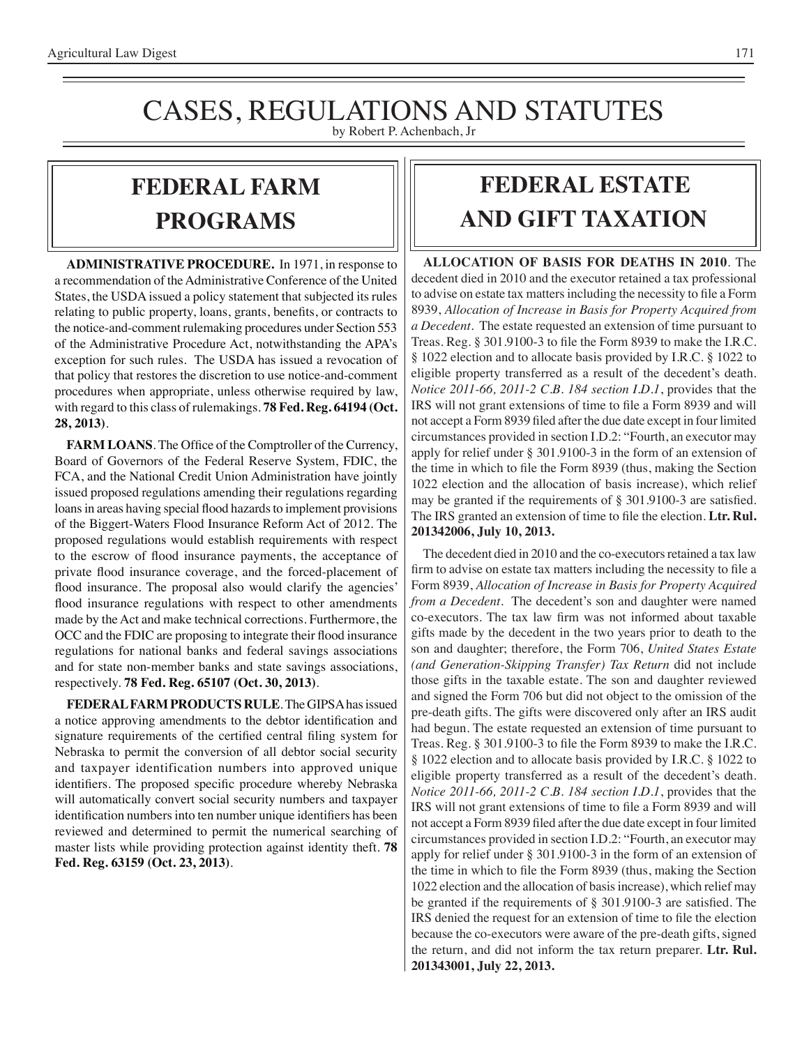### CASES, REGULATIONS AND STATUTES by Robert P. Achenbach, Jr

## **FEDERAL Farm programs**

**ADMINISTRATIVE PROCEDURE.** In 1971, in response to a recommendation of the Administrative Conference of the United States, the USDA issued a policy statement that subjected its rules relating to public property, loans, grants, benefits, or contracts to the notice-and-comment rulemaking procedures under Section 553 of the Administrative Procedure Act, notwithstanding the APA's exception for such rules. The USDA has issued a revocation of that policy that restores the discretion to use notice-and-comment procedures when appropriate, unless otherwise required by law, with regard to this class of rulemakings. **78 Fed. Reg. 64194 (Oct. 28, 2013)**.

**FARM LOANS**. The Office of the Comptroller of the Currency, Board of Governors of the Federal Reserve System, FDIC, the FCA, and the National Credit Union Administration have jointly issued proposed regulations amending their regulations regarding loans in areas having special flood hazards to implement provisions of the Biggert-Waters Flood Insurance Reform Act of 2012. The proposed regulations would establish requirements with respect to the escrow of flood insurance payments, the acceptance of private flood insurance coverage, and the forced-placement of flood insurance. The proposal also would clarify the agencies' flood insurance regulations with respect to other amendments made by the Act and make technical corrections. Furthermore, the OCC and the FDIC are proposing to integrate their flood insurance regulations for national banks and federal savings associations and for state non-member banks and state savings associations, respectively. **78 Fed. Reg. 65107 (Oct. 30, 2013)**.

**FEDERAL FARM PRODUCTS RULE**. The GIPSA has issued a notice approving amendments to the debtor identification and signature requirements of the certified central filing system for Nebraska to permit the conversion of all debtor social security and taxpayer identification numbers into approved unique identifiers. The proposed specific procedure whereby Nebraska will automatically convert social security numbers and taxpayer identification numbersinto ten number unique identifiers has been reviewed and determined to permit the numerical searching of master lists while providing protection against identity theft. **78 Fed. Reg. 63159 (Oct. 23, 2013)**.

# **FEDERAL ESTATE AND GIFT taxation**

**ALLOCATION OF BASIS FOR DEATHS IN 2010**. The decedent died in 2010 and the executor retained a tax professional to advise on estate tax mattersincluding the necessity to file a Form 8939, *Allocation of Increase in Basis for Property Acquired from a Decedent*. The estate requested an extension of time pursuant to Treas. Reg. § 301.9100-3 to file the Form 8939 to make the I.R.C. § 1022 election and to allocate basis provided by I.R.C. § 1022 to eligible property transferred as a result of the decedent's death. *Notice 2011-66, 2011-2 C.B. 184 section I.D.1*, provides that the IRS will not grant extensions of time to file a Form 8939 and will not accept a Form 8939 filed after the due date except in four limited circumstances provided in section I.D.2: "Fourth, an executor may apply for relief under § 301.9100-3 in the form of an extension of the time in which to file the Form 8939 (thus, making the Section 1022 election and the allocation of basis increase), which relief may be granted if the requirements of § 301.9100-3 are satisfied. The IRS granted an extension of time to file the election. **Ltr. Rul. 201342006, July 10, 2013.**

The decedent died in 2010 and the co-executors retained a tax law firm to advise on estate tax matters including the necessity to file a Form 8939, *Allocation of Increase in Basis for Property Acquired from a Decedent*. The decedent's son and daughter were named co-executors. The tax law firm was not informed about taxable gifts made by the decedent in the two years prior to death to the son and daughter; therefore, the Form 706, *United States Estate (and Generation-Skipping Transfer) Tax Return* did not include those gifts in the taxable estate. The son and daughter reviewed and signed the Form 706 but did not object to the omission of the pre-death gifts. The gifts were discovered only after an IRS audit had begun. The estate requested an extension of time pursuant to Treas. Reg. § 301.9100-3 to file the Form 8939 to make the I.R.C. § 1022 election and to allocate basis provided by I.R.C. § 1022 to eligible property transferred as a result of the decedent's death. *Notice 2011-66, 2011-2 C.B. 184 section I.D.1*, provides that the IRS will not grant extensions of time to file a Form 8939 and will not accept a Form 8939 filed after the due date except in four limited circumstances provided in section I.D.2: "Fourth, an executor may apply for relief under § 301.9100-3 in the form of an extension of the time in which to file the Form 8939 (thus, making the Section 1022 election and the allocation of basis increase), which relief may be granted if the requirements of § 301.9100-3 are satisfied. The IRS denied the request for an extension of time to file the election because the co-executors were aware of the pre-death gifts, signed the return, and did not inform the tax return preparer. **Ltr. Rul. 201343001, July 22, 2013.**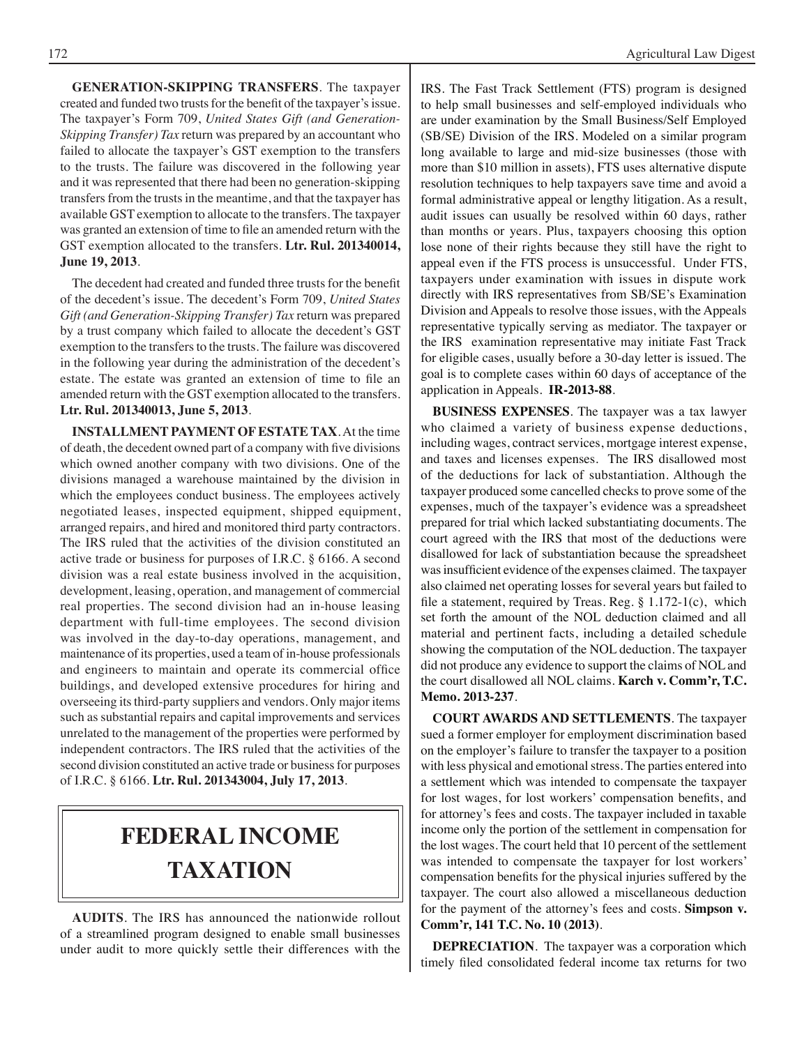**GENERATION-SKIPPING TRANSFERS**. The taxpayer created and funded two trusts for the benefit of the taxpayer's issue. The taxpayer's Form 709, *United States Gift (and Generation-Skipping Transfer) Tax* return was prepared by an accountant who failed to allocate the taxpayer's GST exemption to the transfers to the trusts. The failure was discovered in the following year and it was represented that there had been no generation-skipping transfers from the trusts in the meantime, and that the taxpayer has available GST exemption to allocate to the transfers. The taxpayer was granted an extension of time to file an amended return with the GST exemption allocated to the transfers. **Ltr. Rul. 201340014, June 19, 2013**.

The decedent had created and funded three trusts for the benefit of the decedent's issue. The decedent's Form 709, *United States Gift (and Generation-Skipping Transfer) Tax* return was prepared by a trust company which failed to allocate the decedent's GST exemption to the transfers to the trusts. The failure was discovered in the following year during the administration of the decedent's estate. The estate was granted an extension of time to file an amended return with the GST exemption allocated to the transfers. **Ltr. Rul. 201340013, June 5, 2013**.

**INSTALLMENT PAYMENT OF ESTATE TAX**. At the time of death, the decedent owned part of a company with five divisions which owned another company with two divisions. One of the divisions managed a warehouse maintained by the division in which the employees conduct business. The employees actively negotiated leases, inspected equipment, shipped equipment, arranged repairs, and hired and monitored third party contractors. The IRS ruled that the activities of the division constituted an active trade or business for purposes of I.R.C. § 6166. A second division was a real estate business involved in the acquisition, development, leasing, operation, and management of commercial real properties. The second division had an in-house leasing department with full-time employees. The second division was involved in the day-to-day operations, management, and maintenance of its properties, used a team of in-house professionals and engineers to maintain and operate its commercial office buildings, and developed extensive procedures for hiring and overseeing its third-party suppliers and vendors. Only major items such as substantial repairs and capital improvements and services unrelated to the management of the properties were performed by independent contractors. The IRS ruled that the activities of the second division constituted an active trade or business for purposes of I.R.C. § 6166. **Ltr. Rul. 201343004, July 17, 2013**.

# **federal income taxation**

**AUDITS**. The IRS has announced the nationwide rollout of a streamlined program designed to enable small businesses under audit to more quickly settle their differences with the IRS. The Fast Track Settlement (FTS) program is designed to help small businesses and self-employed individuals who are under examination by the Small Business/Self Employed (SB/SE) Division of the IRS. Modeled on a similar program long available to large and mid-size businesses (those with more than \$10 million in assets), FTS uses alternative dispute resolution techniques to help taxpayers save time and avoid a formal administrative appeal or lengthy litigation. As a result, audit issues can usually be resolved within 60 days, rather than months or years. Plus, taxpayers choosing this option lose none of their rights because they still have the right to appeal even if the FTS process is unsuccessful. Under FTS, taxpayers under examination with issues in dispute work directly with IRS representatives from SB/SE's Examination Division and Appeals to resolve those issues, with the Appeals representative typically serving as mediator. The taxpayer or the IRS examination representative may initiate Fast Track for eligible cases, usually before a 30-day letter is issued. The goal is to complete cases within 60 days of acceptance of the application in Appeals. **IR-2013-88**.

**BUSINESS EXPENSES**. The taxpayer was a tax lawyer who claimed a variety of business expense deductions, including wages, contract services, mortgage interest expense, and taxes and licenses expenses. The IRS disallowed most of the deductions for lack of substantiation. Although the taxpayer produced some cancelled checks to prove some of the expenses, much of the taxpayer's evidence was a spreadsheet prepared for trial which lacked substantiating documents. The court agreed with the IRS that most of the deductions were disallowed for lack of substantiation because the spreadsheet was insufficient evidence of the expenses claimed. The taxpayer also claimed net operating losses for several years but failed to file a statement, required by Treas. Reg. § 1.172-1(c), which set forth the amount of the NOL deduction claimed and all material and pertinent facts, including a detailed schedule showing the computation of the NOL deduction. The taxpayer did not produce any evidence to support the claims of NOL and the court disallowed all NOL claims. **Karch v. Comm'r, T.C. Memo. 2013-237**.

**COURT AWARDS AND SETTLEMENTS**. The taxpayer sued a former employer for employment discrimination based on the employer's failure to transfer the taxpayer to a position with less physical and emotional stress. The parties entered into a settlement which was intended to compensate the taxpayer for lost wages, for lost workers' compensation benefits, and for attorney's fees and costs. The taxpayer included in taxable income only the portion of the settlement in compensation for the lost wages. The court held that 10 percent of the settlement was intended to compensate the taxpayer for lost workers' compensation benefits for the physical injuries suffered by the taxpayer. The court also allowed a miscellaneous deduction for the payment of the attorney's fees and costs. **Simpson v. Comm'r, 141 T.C. No. 10 (2013)**.

**DEPRECIATION**. The taxpayer was a corporation which timely filed consolidated federal income tax returns for two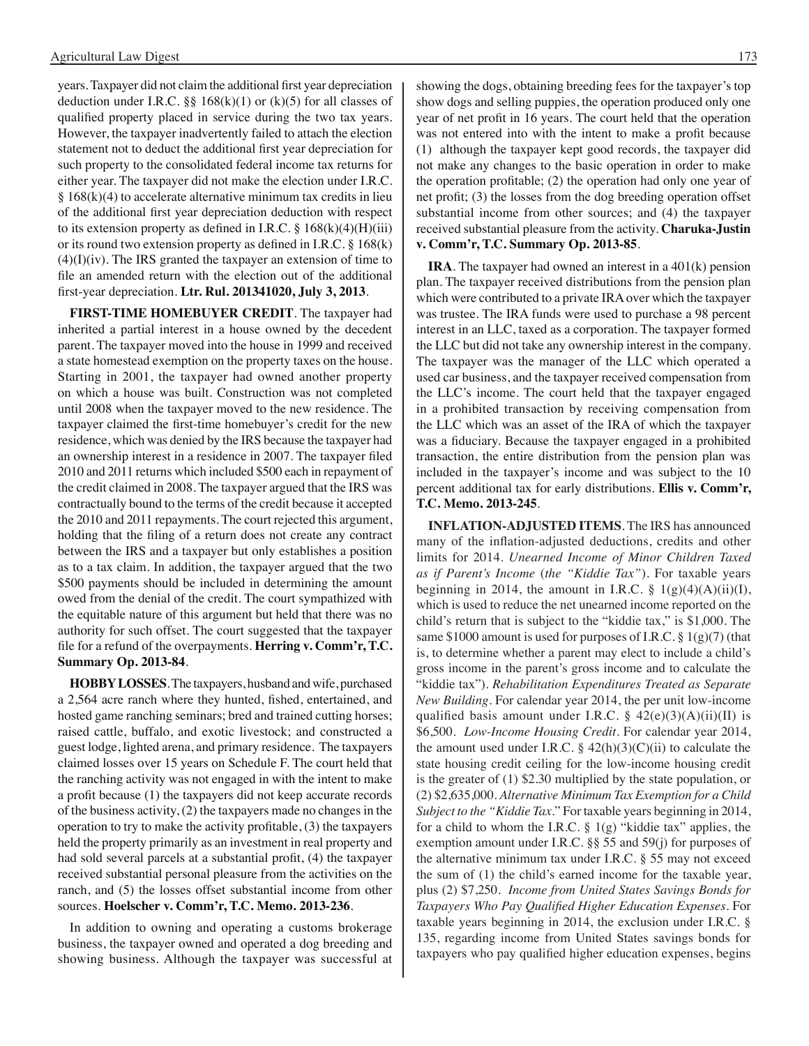years.Taxpayer did not claim the additional first year depreciation deduction under I.R.C.  $\S\S 168(k)(1)$  or (k)(5) for all classes of qualified property placed in service during the two tax years. However, the taxpayer inadvertently failed to attach the election statement not to deduct the additional first year depreciation for such property to the consolidated federal income tax returns for either year. The taxpayer did not make the election under I.R.C.  $§ 168(k)(4)$  to accelerate alternative minimum tax credits in lieu of the additional first year depreciation deduction with respect to its extension property as defined in I.R.C.  $\S 168(k)(4)(H)(iii)$ or its round two extension property as defined in I.R.C. § 168(k)  $(4)(I)(iv)$ . The IRS granted the taxpayer an extension of time to file an amended return with the election out of the additional first-year depreciation. **Ltr. Rul. 201341020, July 3, 2013**.

**FIRST-TIME HOMEBUYER CREDIT**. The taxpayer had inherited a partial interest in a house owned by the decedent parent. The taxpayer moved into the house in 1999 and received a state homestead exemption on the property taxes on the house. Starting in 2001, the taxpayer had owned another property on which a house was built. Construction was not completed until 2008 when the taxpayer moved to the new residence. The taxpayer claimed the first-time homebuyer's credit for the new residence, which was denied by the IRS because the taxpayer had an ownership interest in a residence in 2007. The taxpayer filed 2010 and 2011 returns which included \$500 each in repayment of the credit claimed in 2008. The taxpayer argued that the IRS was contractually bound to the terms of the credit because it accepted the 2010 and 2011 repayments. The court rejected this argument, holding that the filing of a return does not create any contract between the IRS and a taxpayer but only establishes a position as to a tax claim. In addition, the taxpayer argued that the two \$500 payments should be included in determining the amount owed from the denial of the credit. The court sympathized with the equitable nature of this argument but held that there was no authority for such offset. The court suggested that the taxpayer file for a refund of the overpayments. **Herring v. Comm'r, T.C. Summary Op. 2013-84**.

**HOBBY LOSSES**. The taxpayers, husband and wife, purchased a 2,564 acre ranch where they hunted, fished, entertained, and hosted game ranching seminars; bred and trained cutting horses; raised cattle, buffalo, and exotic livestock; and constructed a guest lodge, lighted arena, and primary residence. The taxpayers claimed losses over 15 years on Schedule F. The court held that the ranching activity was not engaged in with the intent to make a profit because (1) the taxpayers did not keep accurate records of the business activity, (2) the taxpayers made no changes in the operation to try to make the activity profitable, (3) the taxpayers held the property primarily as an investment in real property and had sold several parcels at a substantial profit, (4) the taxpayer received substantial personal pleasure from the activities on the ranch, and (5) the losses offset substantial income from other sources. **Hoelscher v. Comm'r, T.C. Memo. 2013-236**.

In addition to owning and operating a customs brokerage business, the taxpayer owned and operated a dog breeding and showing business. Although the taxpayer was successful at showing the dogs, obtaining breeding fees for the taxpayer's top show dogs and selling puppies, the operation produced only one year of net profit in 16 years. The court held that the operation was not entered into with the intent to make a profit because (1) although the taxpayer kept good records, the taxpayer did not make any changes to the basic operation in order to make the operation profitable; (2) the operation had only one year of net profit; (3) the losses from the dog breeding operation offset substantial income from other sources; and (4) the taxpayer received substantial pleasure from the activity. **Charuka-Justin v. Comm'r, T.C. Summary Op. 2013-85**.

**IRA**. The taxpayer had owned an interest in a 401(k) pension plan. The taxpayer received distributions from the pension plan which were contributed to a private IRA over which the taxpayer was trustee. The IRA funds were used to purchase a 98 percent interest in an LLC, taxed as a corporation. The taxpayer formed the LLC but did not take any ownership interest in the company. The taxpayer was the manager of the LLC which operated a used car business, and the taxpayer received compensation from the LLC's income. The court held that the taxpayer engaged in a prohibited transaction by receiving compensation from the LLC which was an asset of the IRA of which the taxpayer was a fiduciary. Because the taxpayer engaged in a prohibited transaction, the entire distribution from the pension plan was included in the taxpayer's income and was subject to the 10 percent additional tax for early distributions. **Ellis v. Comm'r, T.C. Memo. 2013-245**.

**INFLATION-ADJUSTED ITEMS**. The IRS has announced many of the inflation-adjusted deductions, credits and other limits for 2014. *Unearned Income of Minor Children Taxed as if Parent's Income* (*the "Kiddie Tax"*). For taxable years beginning in 2014, the amount in I.R.C.  $\S$  1(g)(4)(A)(ii)(I), which is used to reduce the net unearned income reported on the child's return that is subject to the "kiddie tax," is \$1,000. The same \$1000 amount is used for purposes of I.R.C. §  $1(g)(7)$  (that is, to determine whether a parent may elect to include a child's gross income in the parent's gross income and to calculate the "kiddie tax"). *Rehabilitation Expenditures Treated as Separate New Building*. For calendar year 2014, the per unit low-income qualified basis amount under I.R.C.  $\S$  42(e)(3)(A)(ii)(II) is \$6,500. *Low-Income Housing Credit*. For calendar year 2014, the amount used under I.R.C.  $\S$  42(h)(3)(C)(ii) to calculate the state housing credit ceiling for the low-income housing credit is the greater of (1) \$2.30 multiplied by the state population, or (2) \$2,635,000. *Alternative Minimum Tax Exemption for a Child Subject to the "Kiddie Tax*." For taxable years beginning in 2014, for a child to whom the I.R.C.  $\S$  1(g) "kiddie tax" applies, the exemption amount under I.R.C. §§ 55 and 59(j) for purposes of the alternative minimum tax under I.R.C. § 55 may not exceed the sum of (1) the child's earned income for the taxable year, plus (2) \$7,250. *Income from United States Savings Bonds for Taxpayers Who Pay Qualified Higher Education Expenses*. For taxable years beginning in 2014, the exclusion under I.R.C. § 135, regarding income from United States savings bonds for taxpayers who pay qualified higher education expenses, begins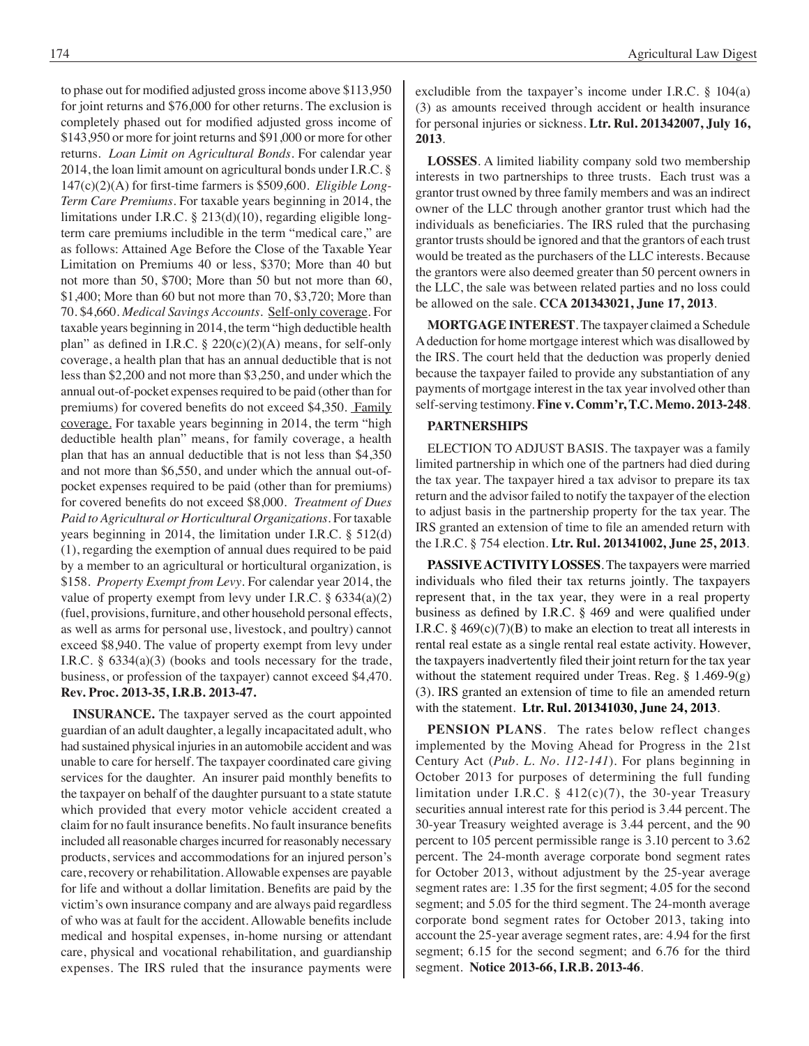to phase out for modified adjusted grossincome above \$113,950 for joint returns and \$76,000 for other returns. The exclusion is completely phased out for modified adjusted gross income of \$143,950 or more for joint returns and \$91,000 or more for other returns. *Loan Limit on Agricultural Bonds*. For calendar year 2014, the loan limit amount on agricultural bonds under I.R.C. § 147(c)(2)(A) for first-time farmers is \$509,600. *Eligible Long-Term Care Premiums*. For taxable years beginning in 2014, the limitations under I.R.C. § 213(d)(10), regarding eligible longterm care premiums includible in the term "medical care," are as follows: Attained Age Before the Close of the Taxable Year Limitation on Premiums 40 or less, \$370; More than 40 but not more than 50, \$700; More than 50 but not more than 60, \$1,400; More than 60 but not more than 70, \$3,720; More than 70. \$4,660. *Medical Savings Accounts*. Self-only coverage. For taxable years beginning in 2014, the term "high deductible health plan" as defined in I.R.C.  $\S$  220(c)(2)(A) means, for self-only coverage, a health plan that has an annual deductible that is not less than \$2,200 and not more than \$3,250, and under which the annual out-of-pocket expenses required to be paid (other than for premiums) for covered benefits do not exceed \$4,350. Family coverage. For taxable years beginning in 2014, the term "high deductible health plan" means, for family coverage, a health plan that has an annual deductible that is not less than \$4,350 and not more than \$6,550, and under which the annual out-ofpocket expenses required to be paid (other than for premiums) for covered benefits do not exceed \$8,000. *Treatment of Dues Paid to Agricultural or Horticultural Organizations*. For taxable years beginning in 2014, the limitation under I.R.C. § 512(d) (1), regarding the exemption of annual dues required to be paid by a member to an agricultural or horticultural organization, is \$158. *Property Exempt from Levy*. For calendar year 2014, the value of property exempt from levy under I.R.C.  $\S$  6334(a)(2) (fuel, provisions, furniture, and other household personal effects, as well as arms for personal use, livestock, and poultry) cannot exceed \$8,940. The value of property exempt from levy under I.R.C. § 6334(a)(3) (books and tools necessary for the trade, business, or profession of the taxpayer) cannot exceed \$4,470. **Rev. Proc. 2013-35, I.R.B. 2013-47.**

**INSURANCE.** The taxpayer served as the court appointed guardian of an adult daughter, a legally incapacitated adult, who had sustained physical injuries in an automobile accident and was unable to care for herself. The taxpayer coordinated care giving services for the daughter. An insurer paid monthly benefits to the taxpayer on behalf of the daughter pursuant to a state statute which provided that every motor vehicle accident created a claim for no fault insurance benefits. No fault insurance benefits included all reasonable charges incurred for reasonably necessary products, services and accommodations for an injured person's care, recovery or rehabilitation. Allowable expenses are payable for life and without a dollar limitation. Benefits are paid by the victim's own insurance company and are always paid regardless of who was at fault for the accident. Allowable benefits include medical and hospital expenses, in-home nursing or attendant care, physical and vocational rehabilitation, and guardianship expenses. The IRS ruled that the insurance payments were excludible from the taxpayer's income under I.R.C. § 104(a) (3) as amounts received through accident or health insurance for personal injuries or sickness. **Ltr. Rul. 201342007, July 16, 2013**.

**LOSSES**. A limited liability company sold two membership interests in two partnerships to three trusts. Each trust was a grantor trust owned by three family members and was an indirect owner of the LLC through another grantor trust which had the individuals as beneficiaries. The IRS ruled that the purchasing grantor trusts should be ignored and that the grantors of each trust would be treated as the purchasers of the LLC interests. Because the grantors were also deemed greater than 50 percent owners in the LLC, the sale was between related parties and no loss could be allowed on the sale. **CCA 201343021, June 17, 2013**.

**MORTGAGE INTEREST**. The taxpayer claimed a Schedule A deduction for home mortgage interest which was disallowed by the IRS. The court held that the deduction was properly denied because the taxpayer failed to provide any substantiation of any payments of mortgage interest in the tax year involved other than self-serving testimony. **Fine v. Comm'r, T.C. Memo. 2013-248**.

### **PARTNERSHIPS**

ELECTION TO ADJUST BASIS. The taxpayer was a family limited partnership in which one of the partners had died during the tax year. The taxpayer hired a tax advisor to prepare its tax return and the advisor failed to notify the taxpayer of the election to adjust basis in the partnership property for the tax year. The IRS granted an extension of time to file an amended return with the I.R.C. § 754 election. **Ltr. Rul. 201341002, June 25, 2013**.

**PASSIVE ACTIVITY LOSSES**. The taxpayers were married individuals who filed their tax returns jointly. The taxpayers represent that, in the tax year, they were in a real property business as defined by I.R.C. § 469 and were qualified under I.R.C.  $\S$  469(c)(7)(B) to make an election to treat all interests in rental real estate as a single rental real estate activity. However, the taxpayers inadvertently filed their joint return for the tax year without the statement required under Treas. Reg. § 1.469-9(g) (3). IRS granted an extension of time to file an amended return with the statement. **Ltr. Rul. 201341030, June 24, 2013**.

**PENSION PLANS**. The rates below reflect changes implemented by the Moving Ahead for Progress in the 21st Century Act (*Pub. L. No. 112-141*). For plans beginning in October 2013 for purposes of determining the full funding limitation under I.R.C.  $\S$  412(c)(7), the 30-year Treasury securities annual interest rate for this period is 3.44 percent. The 30-year Treasury weighted average is 3.44 percent, and the 90 percent to 105 percent permissible range is 3.10 percent to 3.62 percent. The 24-month average corporate bond segment rates for October 2013, without adjustment by the 25-year average segment rates are: 1.35 for the first segment; 4.05 for the second segment; and 5.05 for the third segment. The 24-month average corporate bond segment rates for October 2013, taking into account the 25-year average segment rates, are: 4.94 for the first segment; 6.15 for the second segment; and 6.76 for the third segment. **Notice 2013-66, I.R.B. 2013-46**.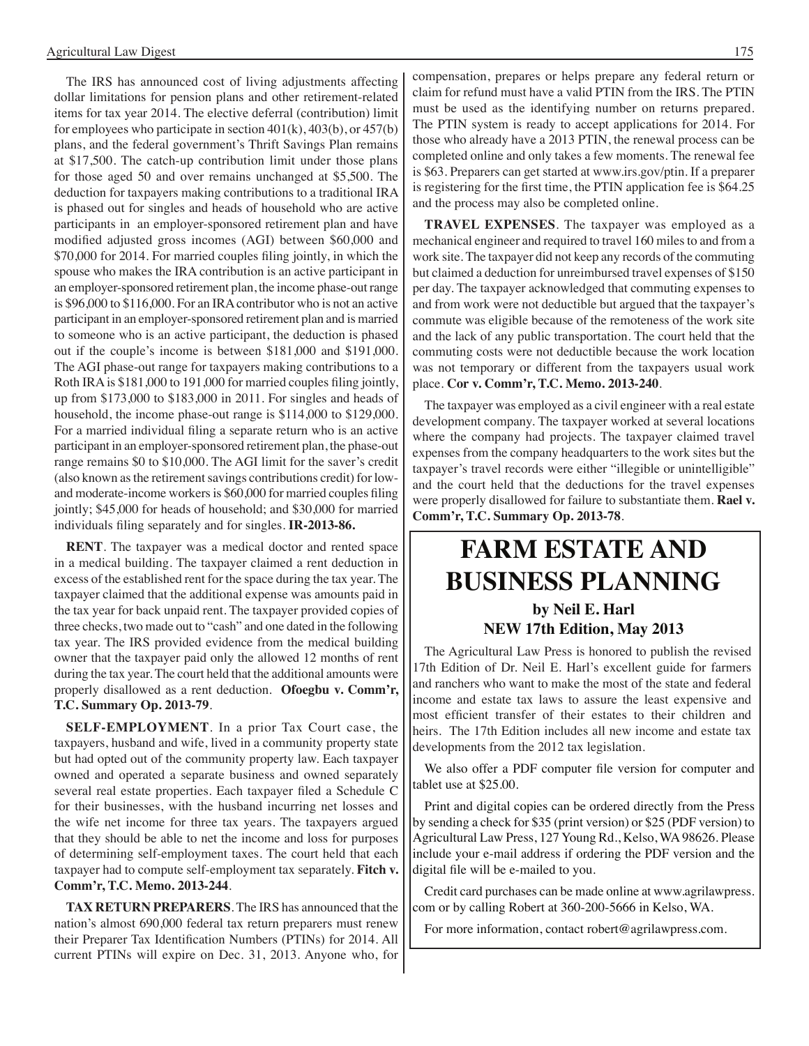The IRS has announced cost of living adjustments affecting dollar limitations for pension plans and other retirement-related items for tax year 2014. The elective deferral (contribution) limit for employees who participate in section 401(k), 403(b), or 457(b) plans, and the federal government's Thrift Savings Plan remains at \$17,500. The catch-up contribution limit under those plans for those aged 50 and over remains unchanged at \$5,500. The deduction for taxpayers making contributions to a traditional IRA is phased out for singles and heads of household who are active participants in an employer-sponsored retirement plan and have modified adjusted gross incomes (AGI) between \$60,000 and \$70,000 for 2014. For married couples filing jointly, in which the spouse who makes the IRA contribution is an active participant in an employer-sponsored retirement plan, the income phase-out range is \$96,000 to \$116,000. For an IRA contributor who is not an active participant in an employer-sponsored retirement plan and is married to someone who is an active participant, the deduction is phased out if the couple's income is between \$181,000 and \$191,000. The AGI phase-out range for taxpayers making contributions to a Roth IRAis \$181,000 to 191,000 for married couples filing jointly, up from \$173,000 to \$183,000 in 2011. For singles and heads of household, the income phase-out range is \$114,000 to \$129,000. For a married individual filing a separate return who is an active participant in an employer-sponsored retirement plan, the phase-out range remains \$0 to \$10,000. The AGI limit for the saver's credit (also known as the retirement savings contributions credit) for lowand moderate-income workersis \$60,000 for married couples filing jointly; \$45,000 for heads of household; and \$30,000 for married individuals filing separately and for singles. **IR-2013-86.**

**RENT**. The taxpayer was a medical doctor and rented space in a medical building. The taxpayer claimed a rent deduction in excess of the established rent for the space during the tax year. The taxpayer claimed that the additional expense was amounts paid in the tax year for back unpaid rent. The taxpayer provided copies of three checks, two made out to "cash" and one dated in the following tax year. The IRS provided evidence from the medical building owner that the taxpayer paid only the allowed 12 months of rent during the tax year. The court held that the additional amounts were properly disallowed as a rent deduction. **Ofoegbu v. Comm'r, T.C. Summary Op. 2013-79**.

**SELF-EMPLOYMENT**. In a prior Tax Court case, the taxpayers, husband and wife, lived in a community property state but had opted out of the community property law. Each taxpayer owned and operated a separate business and owned separately several real estate properties. Each taxpayer filed a Schedule C for their businesses, with the husband incurring net losses and the wife net income for three tax years. The taxpayers argued that they should be able to net the income and loss for purposes of determining self-employment taxes. The court held that each taxpayer had to compute self-employment tax separately. **Fitch v. Comm'r, T.C. Memo. 2013-244**.

**TAX RETURN PREPARERS**. The IRS has announced that the nation's almost 690,000 federal tax return preparers must renew their Preparer Tax Identification Numbers (PTINs) for 2014. All current PTINs will expire on Dec. 31, 2013. Anyone who, for compensation, prepares or helps prepare any federal return or claim for refund must have a valid PTIN from the IRS. The PTIN must be used as the identifying number on returns prepared. The PTIN system is ready to accept applications for 2014. For those who already have a 2013 PTIN, the renewal process can be completed online and only takes a few moments. The renewal fee is \$63. Preparers can get started at www.irs.gov/ptin. If a preparer is registering for the first time, the PTIN application fee is \$64.25 and the process may also be completed online.

**TRAVEL EXPENSES**. The taxpayer was employed as a mechanical engineer and required to travel 160 miles to and from a work site. The taxpayer did not keep any records of the commuting but claimed a deduction for unreimbursed travel expenses of \$150 per day. The taxpayer acknowledged that commuting expenses to and from work were not deductible but argued that the taxpayer's commute was eligible because of the remoteness of the work site and the lack of any public transportation. The court held that the commuting costs were not deductible because the work location was not temporary or different from the taxpayers usual work place. **Cor v. Comm'r, T.C. Memo. 2013-240**.

The taxpayer was employed as a civil engineer with a real estate development company. The taxpayer worked at several locations where the company had projects. The taxpayer claimed travel expenses from the company headquarters to the work sites but the taxpayer's travel records were either "illegible or unintelligible" and the court held that the deductions for the travel expenses were properly disallowed for failure to substantiate them. **Rael v. Comm'r, T.C. Summary Op. 2013-78**.

### **FARM ESTATE AND BUSINESS PLANNING by Neil E. Harl**

### **NEW 17th Edition, May 2013**

The Agricultural Law Press is honored to publish the revised 17th Edition of Dr. Neil E. Harl's excellent guide for farmers and ranchers who want to make the most of the state and federal income and estate tax laws to assure the least expensive and most efficient transfer of their estates to their children and heirs. The 17th Edition includes all new income and estate tax developments from the 2012 tax legislation.

 We also offer a PDF computer file version for computer and tablet use at \$25.00.

Print and digital copies can be ordered directly from the Press by sending a check for \$35 (print version) or \$25 (PDF version) to Agricultural Law Press, 127 Young Rd., Kelso, WA 98626. Please include your e-mail address if ordering the PDF version and the digital file will be e-mailed to you.

Credit card purchases can be made online at www.agrilawpress. com or by calling Robert at 360-200-5666 in Kelso, WA.

For more information, contact robert@agrilawpress.com.